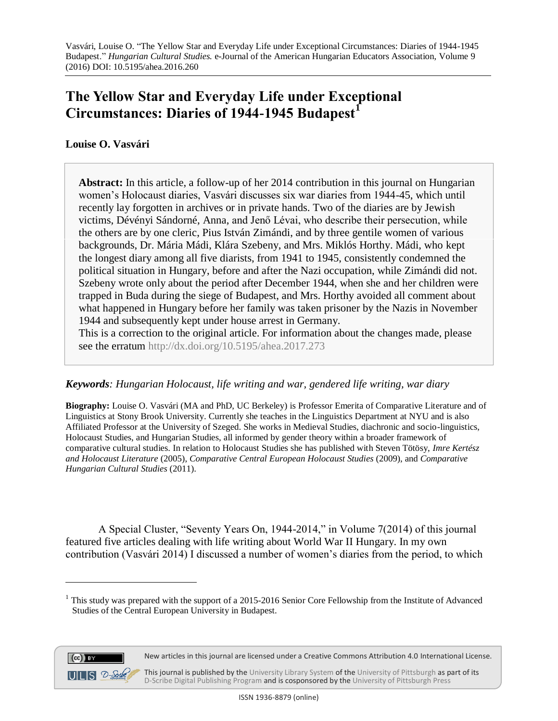## **The Yellow Star and Everyday Life under Exceptional Circumstances: Diaries of 1944-1945 Budapest<sup>1</sup>**

## **Louise O. Vasvári**

**Abstract:** In this article, a follow-up of her 2014 contribution in this journal on Hungarian women's Holocaust diaries, Vasvári discusses six war diaries from 1944-45, which until recently lay forgotten in archives or in private hands. Two of the diaries are by Jewish victims, Dévényi Sándorné, Anna, and Jenő Lévai, who describe their persecution, while the others are by one cleric, Pius István Zimándi, and by three gentile women of various backgrounds, Dr. Mária Mádi, Klára Szebeny, and Mrs. Miklós Horthy. Mádi, who kept the longest diary among all five diarists, from 1941 to 1945, consistently condemned the political situation in Hungary, before and after the Nazi occupation, while Zimándi did not. Szebeny wrote only about the period after December 1944, when she and her children were trapped in Buda during the siege of Budapest, and Mrs. Horthy avoided all comment about what happened in Hungary before her family was taken prisoner by the Nazis in November 1944 and subsequently kept under house arrest in Germany.

This is a correction to the original article. For information about the changes made, please see the erratum<http://dx.doi.org/10.5195/ahea.2017.273>

## *Keywords: Hungarian Holocaust, life writing and war, gendered life writing, war diary*

**Biography:** Louise O. Vasvári (MA and PhD, UC Berkeley) is Professor Emerita of Comparative Literature and of Linguistics at Stony Brook University. Currently she teaches in the Linguistics Department at NYU and is also Affiliated Professor at the University of Szeged. She works in Medieval Studies, diachronic and socio-linguistics, Holocaust Studies, and Hungarian Studies, all informed by gender theory within a broader framework of comparative cultural studies. In relation to Holocaust Studies she has published with Steven Tötösy, *Imre Kertész and Holocaust Literature* (2005), *Comparative Central European Holocaust Studies* (2009), and *Comparative Hungarian Cultural Studies* (2011).

A Special Cluster, "Seventy Years On, 1944-2014," in Volume 7(2014) of this journal featured five articles dealing with life writing about World War II Hungary. In my own contribution (Vasvári 2014) I discussed a number of women's diaries from the period, to which

<sup>&</sup>lt;sup>1</sup> This study was prepared with the support of a 2015-2016 Senior Core Fellowship from the Institute of Advanced Studies of the Central European University in Budapest.



 $\overline{a}$ 

This journal is published by th[e University Library System](http://www.library.pitt.edu/) of th[e University of Pittsburgh](http://www.pitt.edu/) as part of its [D-Scribe Digital Publishing Program](http://www.library.pitt.edu/articles/digpubtype/index.html) and is cosponsored by the [University of Pittsburgh Press](http://upress.pitt.edu/)

New articles in this journal are licensed under a Creative Commons Attribution 4.0 International License.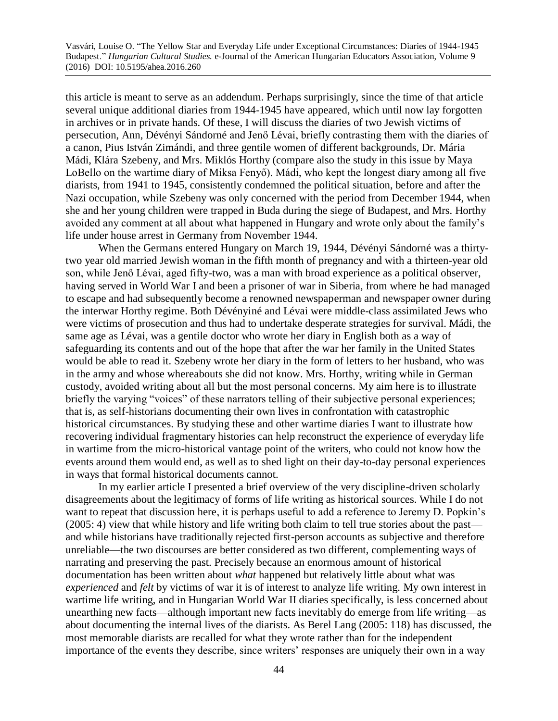this article is meant to serve as an addendum. Perhaps surprisingly, since the time of that article several unique additional diaries from 1944-1945 have appeared, which until now lay forgotten in archives or in private hands. Of these, I will discuss the diaries of two Jewish victims of persecution, Ann, Dévényi Sándorné and Jenő Lévai, briefly contrasting them with the diaries of a canon, Pius István Zimándi, and three gentile women of different backgrounds, Dr. Mária Mádi, Klára Szebeny, and Mrs. Miklós Horthy (compare also the study in this issue by Maya LoBello on the wartime diary of Miksa Fenyő). Mádi, who kept the longest diary among all five diarists, from 1941 to 1945, consistently condemned the political situation, before and after the Nazi occupation, while Szebeny was only concerned with the period from December 1944, when she and her young children were trapped in Buda during the siege of Budapest, and Mrs. Horthy avoided any comment at all about what happened in Hungary and wrote only about the family's life under house arrest in Germany from November 1944.

When the Germans entered Hungary on March 19, 1944, Dévényi Sándorné was a thirtytwo year old married Jewish woman in the fifth month of pregnancy and with a thirteen-year old son, while Jenő Lévai, aged fifty-two, was a man with broad experience as a political observer, having served in World War I and been a prisoner of war in Siberia, from where he had managed to escape and had subsequently become a renowned newspaperman and newspaper owner during the interwar Horthy regime. Both Dévényiné and Lévai were middle-class assimilated Jews who were victims of prosecution and thus had to undertake desperate strategies for survival. Mádi, the same age as Lévai, was a gentile doctor who wrote her diary in English both as a way of safeguarding its contents and out of the hope that after the war her family in the United States would be able to read it. Szebeny wrote her diary in the form of letters to her husband, who was in the army and whose whereabouts she did not know. Mrs. Horthy, writing while in German custody, avoided writing about all but the most personal concerns. My aim here is to illustrate briefly the varying "voices" of these narrators telling of their subjective personal experiences; that is, as self-historians documenting their own lives in confrontation with catastrophic historical circumstances. By studying these and other wartime diaries I want to illustrate how recovering individual fragmentary histories can help reconstruct the experience of everyday life in wartime from the micro-historical vantage point of the writers, who could not know how the events around them would end, as well as to shed light on their day-to-day personal experiences in ways that formal historical documents cannot.

In my earlier article I presented a brief overview of the very discipline-driven scholarly disagreements about the legitimacy of forms of life writing as historical sources. While I do not want to repeat that discussion here, it is perhaps useful to add a reference to Jeremy D. Popkin's (2005: 4) view that while history and life writing both claim to tell true stories about the past and while historians have traditionally rejected first-person accounts as subjective and therefore unreliable—the two discourses are better considered as two different, complementing ways of narrating and preserving the past. Precisely because an enormous amount of historical documentation has been written about *what* happened but relatively little about what was *experienced* and *felt* by victims of war it is of interest to analyze life writing. My own interest in wartime life writing, and in Hungarian World War II diaries specifically, is less concerned about unearthing new facts—although important new facts inevitably do emerge from life writing—as about documenting the internal lives of the diarists. As Berel Lang (2005: 118) has discussed, the most memorable diarists are recalled for what they wrote rather than for the independent importance of the events they describe, since writers' responses are uniquely their own in a way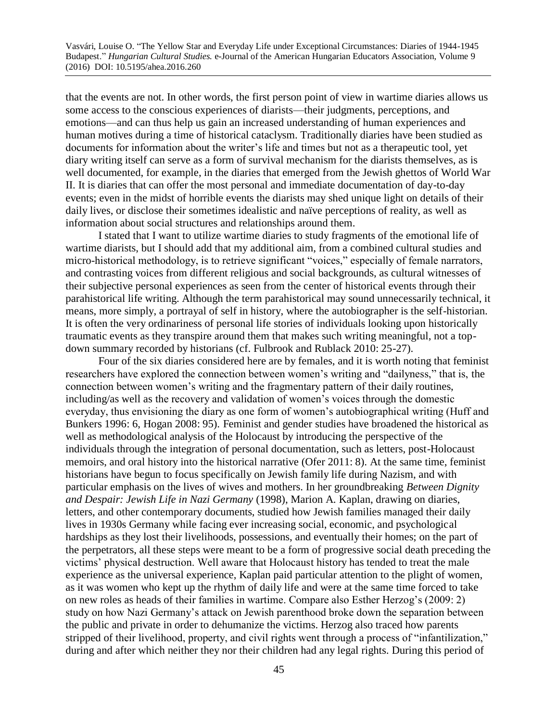that the events are not. In other words, the first person point of view in wartime diaries allows us some access to the conscious experiences of diarists—their judgments, perceptions, and emotions—and can thus help us gain an increased understanding of human experiences and human motives during a time of historical cataclysm. Traditionally diaries have been studied as documents for information about the writer's life and times but not as a therapeutic tool, yet diary writing itself can serve as a form of survival mechanism for the diarists themselves, as is well documented, for example, in the diaries that emerged from the Jewish ghettos of World War II. It is diaries that can offer the most personal and immediate documentation of day-to-day events; even in the midst of horrible events the diarists may shed unique light on details of their daily lives, or disclose their sometimes idealistic and naïve perceptions of reality, as well as information about social structures and relationships around them.

I stated that I want to utilize wartime diaries to study fragments of the emotional life of wartime diarists, but I should add that my additional aim, from a combined cultural studies and micro-historical methodology, is to retrieve significant "voices," especially of female narrators, and contrasting voices from different religious and social backgrounds, as cultural witnesses of their subjective personal experiences as seen from the center of historical events through their parahistorical life writing. Although the term parahistorical may sound unnecessarily technical, it means, more simply, a portrayal of self in history, where the autobiographer is the self-historian. It is often the very ordinariness of personal life stories of individuals looking upon historically traumatic events as they transpire around them that makes such writing meaningful, not a topdown summary recorded by historians (cf. Fulbrook and Rublack 2010: 25-27).

Four of the six diaries considered here are by females, and it is worth noting that feminist researchers have explored the connection between women's writing and "dailyness," that is, the connection between women's writing and the fragmentary pattern of their daily routines, including/as well as the recovery and validation of women's voices through the domestic everyday, thus envisioning the diary as one form of women's autobiographical writing (Huff and Bunkers 1996: 6, Hogan 2008: 95). Feminist and gender studies have broadened the historical as well as methodological analysis of the Holocaust by introducing the perspective of the individuals through the integration of personal documentation, such as letters, post-Holocaust memoirs, and oral history into the historical narrative (Ofer 2011: 8). At the same time, feminist historians have begun to focus specifically on Jewish family life during Nazism, and with particular emphasis on the lives of wives and mothers. In her groundbreaking *Between Dignity and Despair: Jewish Life in Nazi Germany* (1998), Marion A. Kaplan, drawing on diaries, letters, and other contemporary documents, studied how Jewish families managed their daily lives in 1930s Germany while facing ever increasing social, economic, and psychological hardships as they lost their livelihoods, possessions, and eventually their homes; on the part of the perpetrators, all these steps were meant to be a form of progressive social death preceding the victims' physical destruction. Well aware that Holocaust history has tended to treat the male experience as the universal experience, Kaplan paid particular attention to the plight of women, as it was women who kept up the rhythm of daily life and were at the same time forced to take on new roles as heads of their families in wartime. Compare also Esther Herzog's (2009: 2) study on how Nazi Germany's attack on Jewish parenthood broke down the separation between the public and private in order to dehumanize the victims. Herzog also traced how parents stripped of their livelihood, property, and civil rights went through a process of "infantilization," during and after which neither they nor their children had any legal rights. During this period of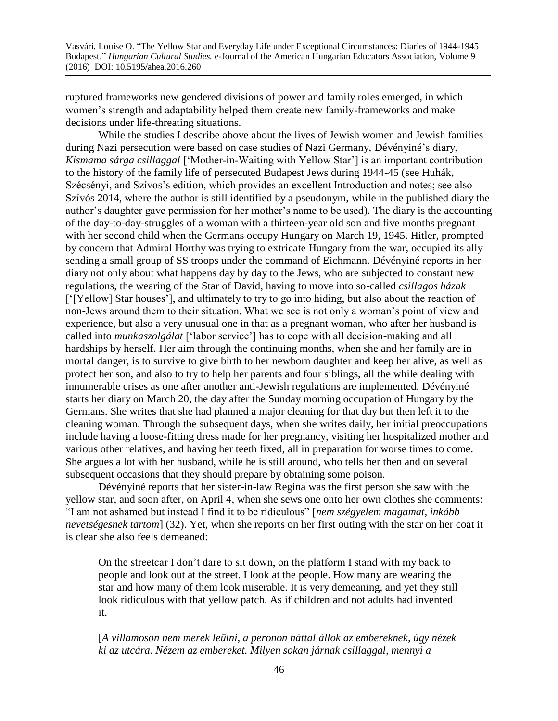ruptured frameworks new gendered divisions of power and family roles emerged, in which women's strength and adaptability helped them create new family-frameworks and make decisions under life-threating situations.

While the studies I describe above about the lives of Jewish women and Jewish families during Nazi persecution were based on case studies of Nazi Germany, Dévényiné's diary, *Kismama sárga csillaggal* ['Mother-in-Waiting with Yellow Star'] is an important contribution to the history of the family life of persecuted Budapest Jews during 1944-45 (see Huhák, Szécsényi, and Szívos's edition, which provides an excellent Introduction and notes; see also Szívós 2014, where the author is still identified by a pseudonym, while in the published diary the author's daughter gave permission for her mother's name to be used). The diary is the accounting of the day-to-day-struggles of a woman with a thirteen-year old son and five months pregnant with her second child when the Germans occupy Hungary on March 19, 1945. Hitler, prompted by concern that Admiral Horthy was trying to extricate Hungary from the war, occupied its ally sending a small group of SS troops under the command of Eichmann. Dévényiné reports in her diary not only about what happens day by day to the Jews, who are subjected to constant new regulations, the wearing of the Star of David, having to move into so-called *csillagos házak*  ['[Yellow] Star houses'], and ultimately to try to go into hiding, but also about the reaction of non-Jews around them to their situation. What we see is not only a woman's point of view and experience, but also a very unusual one in that as a pregnant woman, who after her husband is called into *munkaszolgálat* ['labor service'] has to cope with all decision-making and all hardships by herself. Her aim through the continuing months, when she and her family are in mortal danger, is to survive to give birth to her newborn daughter and keep her alive, as well as protect her son, and also to try to help her parents and four siblings, all the while dealing with innumerable crises as one after another anti-Jewish regulations are implemented. Dévényiné starts her diary on March 20, the day after the Sunday morning occupation of Hungary by the Germans. She writes that she had planned a major cleaning for that day but then left it to the cleaning woman. Through the subsequent days, when she writes daily, her initial preoccupations include having a loose-fitting dress made for her pregnancy, visiting her hospitalized mother and various other relatives, and having her teeth fixed, all in preparation for worse times to come. She argues a lot with her husband, while he is still around, who tells her then and on several subsequent occasions that they should prepare by obtaining some poison.

Dévényiné reports that her sister-in-law Regina was the first person she saw with the yellow star, and soon after, on April 4, when she sews one onto her own clothes she comments: "I am not ashamed but instead I find it to be ridiculous" [*nem szégyelem magamat, inkább nevetségesnek tartom*] (32). Yet, when she reports on her first outing with the star on her coat it is clear she also feels demeaned:

On the streetcar I don't dare to sit down, on the platform I stand with my back to people and look out at the street. I look at the people. How many are wearing the star and how many of them look miserable. It is very demeaning, and yet they still look ridiculous with that yellow patch. As if children and not adults had invented it.

[*A villamoson nem merek leülni, a peronon háttal állok az embereknek, úgy nézek ki az utcára. Nézem az embereket. Milyen sokan járnak csillaggal, mennyi a*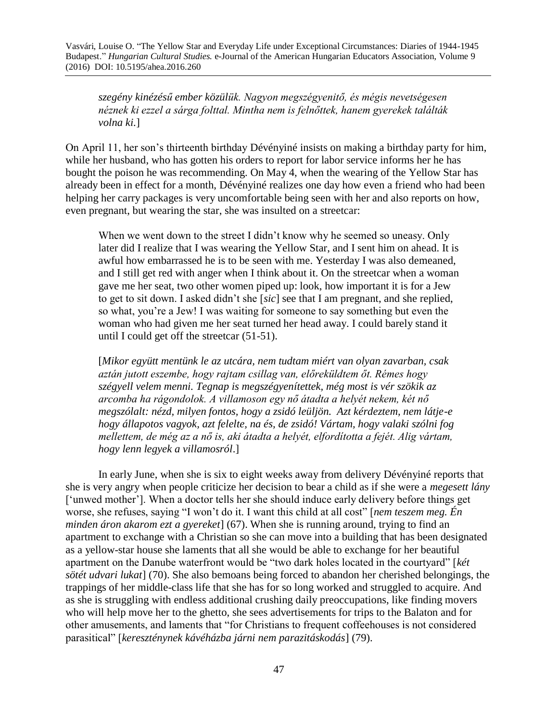*szegény kinézésű ember közülük. Nagyon megszégyenitő, és mégis nevetségesen néznek ki ezzel a sárga folttal. Mintha nem is felnőttek, hanem gyerekek találták volna ki.*]

On April 11, her son's thirteenth birthday Dévényiné insists on making a birthday party for him, while her husband, who has gotten his orders to report for labor service informs her he has bought the poison he was recommending. On May 4, when the wearing of the Yellow Star has already been in effect for a month, Dévényiné realizes one day how even a friend who had been helping her carry packages is very uncomfortable being seen with her and also reports on how, even pregnant, but wearing the star, she was insulted on a streetcar:

When we went down to the street I didn't know why he seemed so uneasy. Only later did I realize that I was wearing the Yellow Star, and I sent him on ahead. It is awful how embarrassed he is to be seen with me. Yesterday I was also demeaned, and I still get red with anger when I think about it. On the streetcar when a woman gave me her seat, two other women piped up: look, how important it is for a Jew to get to sit down. I asked didn't she [*sic*] see that I am pregnant, and she replied, so what, you're a Jew! I was waiting for someone to say something but even the woman who had given me her seat turned her head away. I could barely stand it until I could get off the streetcar (51-51).

[*Mikor együtt mentünk le az utcára, nem tudtam miért van olyan zavarban, csak aztán jutott eszembe, hogy rajtam csillag van, előreküldtem őt. Rémes hogy szégyell velem menni. Tegnap is megszégyenítettek, még most is vér szökik az arcomba ha rágondolok. A villamoson egy nő átadta a helyét nekem, két nő megszólalt: nézd, milyen fontos, hogy a zsidó leüljön. Azt kérdeztem, nem látje-e hogy állapotos vagyok, azt felelte, na és, de zsidó! Vártam, hogy valaki szólni fog mellettem, de még az a nő is, aki átadta a helyét, elfordította a fejét. Alig vártam, hogy lenn legyek a villamosról*.]

In early June, when she is six to eight weeks away from delivery Dévényiné reports that she is very angry when people criticize her decision to bear a child as if she were a *megesett lány*  ['unwed mother']. When a doctor tells her she should induce early delivery before things get worse, she refuses, saying "I won't do it. I want this child at all cost" [*nem teszem meg. Én minden áron akarom ezt a gyereket*] (67). When she is running around, trying to find an apartment to exchange with a Christian so she can move into a building that has been designated as a yellow-star house she laments that all she would be able to exchange for her beautiful apartment on the Danube waterfront would be "two dark holes located in the courtyard" [*két sötét udvari lukat*] (70). She also bemoans being forced to abandon her cherished belongings, the trappings of her middle-class life that she has for so long worked and struggled to acquire. And as she is struggling with endless additional crushing daily preoccupations, like finding movers who will help move her to the ghetto, she sees advertisements for trips to the Balaton and for other amusements, and laments that "for Christians to frequent coffeehouses is not considered parasitical" [*kereszténynek kávéházba járni nem parazitáskodás*] (79).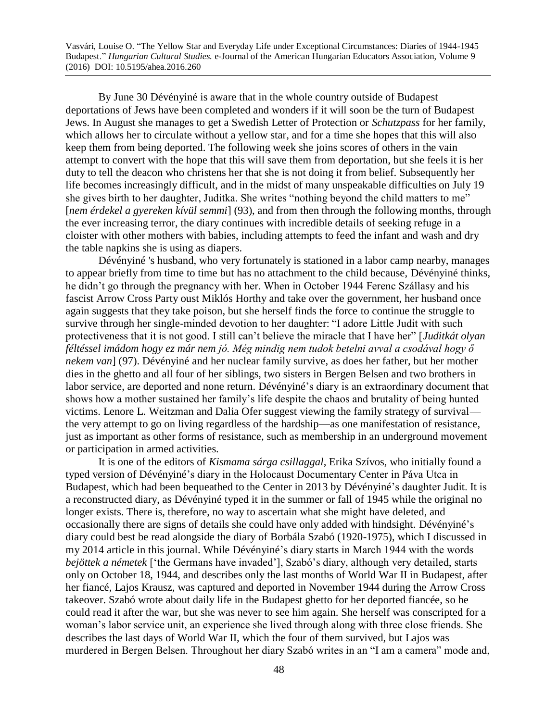By June 30 Dévényiné is aware that in the whole country outside of Budapest deportations of Jews have been completed and wonders if it will soon be the turn of Budapest Jews. In August she manages to get a Swedish Letter of Protection or *Schutzpass* for her family, which allows her to circulate without a yellow star, and for a time she hopes that this will also keep them from being deported. The following week she joins scores of others in the vain attempt to convert with the hope that this will save them from deportation, but she feels it is her duty to tell the deacon who christens her that she is not doing it from belief. Subsequently her life becomes increasingly difficult, and in the midst of many unspeakable difficulties on July 19 she gives birth to her daughter, Juditka. She writes "nothing beyond the child matters to me" [*nem érdekel a gyereken kívül semmi*] (93), and from then through the following months, through the ever increasing terror, the diary continues with incredible details of seeking refuge in a cloister with other mothers with babies, including attempts to feed the infant and wash and dry the table napkins she is using as diapers.

Dévényiné 's husband, who very fortunately is stationed in a labor camp nearby, manages to appear briefly from time to time but has no attachment to the child because, Dévényiné thinks, he didn't go through the pregnancy with her. When in October 1944 Ferenc Szállasy and his fascist Arrow Cross Party oust Miklós Horthy and take over the government, her husband once again suggests that they take poison, but she herself finds the force to continue the struggle to survive through her single-minded devotion to her daughter: "I adore Little Judit with such protectiveness that it is not good. I still can't believe the miracle that I have her" [*Juditkát olyan féltéssel imádom hogy ez már nem jó. Még mindig nem tudok betelni avval a csodával hogy ő nekem van*] (97). Dévényiné and her nuclear family survive, as does her father, but her mother dies in the ghetto and all four of her siblings, two sisters in Bergen Belsen and two brothers in labor service, are deported and none return. Dévényiné's diary is an extraordinary document that shows how a mother sustained her family's life despite the chaos and brutality of being hunted victims. Lenore L. Weitzman and Dalia Ofer suggest viewing the family strategy of survival the very attempt to go on living regardless of the hardship—as one manifestation of resistance, just as important as other forms of resistance, such as membership in an underground movement or participation in armed activities.

It is one of the editors of *Kismama sárga csillaggal*, Erika Szívos, who initially found a typed version of Dévényiné's diary in the Holocaust Documentary Center in Páva Utca in Budapest, which had been bequeathed to the Center in 2013 by Dévényiné's daughter Judit. It is a reconstructed diary, as Dévényiné typed it in the summer or fall of 1945 while the original no longer exists. There is, therefore, no way to ascertain what she might have deleted, and occasionally there are signs of details she could have only added with hindsight. Dévényiné's diary could best be read alongside the diary of Borbála Szabó (1920-1975), which I discussed in my 2014 article in this journal. While Dévényiné's diary starts in March 1944 with the words *bejöttek a németek* ['the Germans have invaded'], Szabó's diary, although very detailed, starts only on October 18, 1944, and describes only the last months of World War II in Budapest, after her fiancé, Lajos Krausz, was captured and deported in November 1944 during the Arrow Cross takeover. Szabó wrote about daily life in the Budapest ghetto for her deported fiancée, so he could read it after the war, but she was never to see him again. She herself was conscripted for a woman's labor service unit, an experience she lived through along with three close friends. She describes the last days of World War II, which the four of them survived, but Lajos was murdered in Bergen Belsen. Throughout her diary Szabó writes in an "I am a camera" mode and,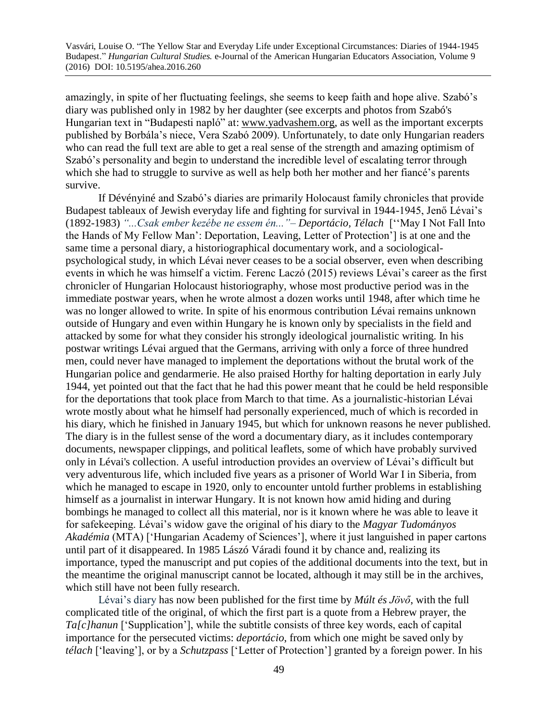amazingly, in spite of her fluctuating feelings, she seems to keep faith and hope alive. Szabó's diary was published only in 1982 by her daughter (see excerpts and photos from Szabó's Hungarian text in "Budapesti napló" at: [www.yadvashem.org,](http://www.yadvashem.org/) as well as the important excerpts published by Borbála's niece, Vera Szabó 2009). Unfortunately, to date only Hungarian readers who can read the full text are able to get a real sense of the strength and amazing optimism of Szabó's personality and begin to understand the incredible level of escalating terror through which she had to struggle to survive as well as help both her mother and her fiancé's parents survive.

If Dévényiné and Szabó's diaries are primarily Holocaust family chronicles that provide Budapest tableaux of Jewish everyday life and fighting for survival in 1944-1945, Jenő Lévai's (1892-1983) *"...Csak ember kezébe ne essem én..."*– *Deportácio, Télach* [''May I Not Fall Into the Hands of My Fellow Man': Deportation, Leaving, Letter of Protection'] is at one and the same time a personal diary, a historiographical documentary work, and a sociologicalpsychological study, in which Lévai never ceases to be a social observer, even when describing events in which he was himself a victim. Ferenc Laczó (2015) reviews Lévai's career as the first chronicler of Hungarian Holocaust historiography, whose most productive period was in the immediate postwar years, when he wrote almost a dozen works until 1948, after which time he was no longer allowed to write. In spite of his enormous contribution Lévai remains unknown outside of Hungary and even within Hungary he is known only by specialists in the field and attacked by some for what they consider his strongly ideological journalistic writing. In his postwar writings Lévai argued that the Germans, arriving with only a force of three hundred men, could never have managed to implement the deportations without the brutal work of the Hungarian police and gendarmerie. He also praised Horthy for halting deportation in early July 1944, yet pointed out that the fact that he had this power meant that he could be held responsible for the deportations that took place from March to that time. As a journalistic-historian Lévai wrote mostly about what he himself had personally experienced, much of which is recorded in his diary, which he finished in January 1945, but which for unknown reasons he never published. The diary is in the fullest sense of the word a documentary diary, as it includes contemporary documents, newspaper clippings, and political leaflets, some of which have probably survived only in Lévai's collection. A useful introduction provides an overview of Lévai's difficult but very adventurous life, which included five years as a prisoner of World War I in Siberia, from which he managed to escape in 1920, only to encounter untold further problems in establishing himself as a journalist in interwar Hungary. It is not known how amid hiding and during bombings he managed to collect all this material, nor is it known where he was able to leave it for safekeeping. Lévai's widow gave the original of his diary to the *Magyar Tudományos Akadémia* (MTA) ['Hungarian Academy of Sciences'], where it just languished in paper cartons until part of it disappeared. In 1985 Lászó Váradi found it by chance and, realizing its importance, typed the manuscript and put copies of the additional documents into the text, but in the meantime the original manuscript cannot be located, although it may still be in the archives, which still have not been fully research.

Lévai's diary has now been published for the first time by *Múlt és Jövő*, with the full complicated title of the original, of which the first part is a quote from a Hebrew prayer, the *Ta[c]hanun* ['Supplication'], while the subtitle consists of three key words, each of capital importance for the persecuted victims: *deportácio*, from which one might be saved only by *télach* ['leaving'], or by a *Schutzpass* ['Letter of Protection'] granted by a foreign power. In his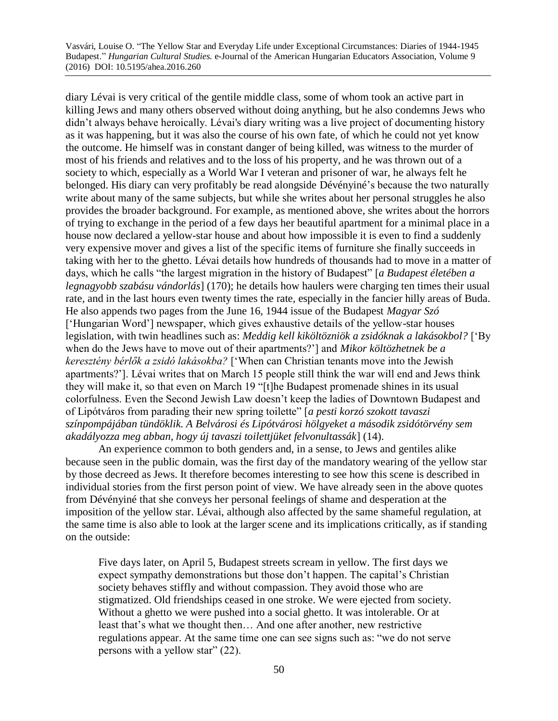diary Lévai is very critical of the gentile middle class, some of whom took an active part in killing Jews and many others observed without doing anything, but he also condemns Jews who didn't always behave heroically. Lévai's diary writing was a live project of documenting history as it was happening, but it was also the course of his own fate, of which he could not yet know the outcome. He himself was in constant danger of being killed, was witness to the murder of most of his friends and relatives and to the loss of his property, and he was thrown out of a society to which, especially as a World War I veteran and prisoner of war, he always felt he belonged. His diary can very profitably be read alongside Dévényiné's because the two naturally write about many of the same subjects, but while she writes about her personal struggles he also provides the broader background. For example, as mentioned above, she writes about the horrors of trying to exchange in the period of a few days her beautiful apartment for a minimal place in a house now declared a yellow-star house and about how impossible it is even to find a suddenly very expensive mover and gives a list of the specific items of furniture she finally succeeds in taking with her to the ghetto. Lévai details how hundreds of thousands had to move in a matter of days, which he calls "the largest migration in the history of Budapest" [*a Budapest életében a legnagyobb szabásu vándorlás*] (170); he details how haulers were charging ten times their usual rate, and in the last hours even twenty times the rate, especially in the fancier hilly areas of Buda. He also appends two pages from the June 16, 1944 issue of the Budapest *Magyar Szó* ['Hungarian Word'] newspaper, which gives exhaustive details of the yellow-star houses legislation, with twin headlines such as: *Meddig kell kiköltözniök a zsidóknak a lakásokbol?* ['By when do the Jews have to move out of their apartments?'] and *Mikor költözhetnek be a keresztény bérlők a zsidó lakásokba?* ['When can Christian tenants move into the Jewish apartments?']. Lévai writes that on March 15 people still think the war will end and Jews think they will make it, so that even on March 19 "[t]he Budapest promenade shines in its usual colorfulness. Even the Second Jewish Law doesn't keep the ladies of Downtown Budapest and of Lipótváros from parading their new spring toilette" [*a pesti korzó szokott tavaszi színpompájában tündöklik. A Belvárosi és Lipótvárosi hölgyeket a második zsidótörvény sem akadályozza meg abban, hogy új tavaszi toilettjüket felvonultassák*] (14).

An experience common to both genders and, in a sense, to Jews and gentiles alike because seen in the public domain, was the first day of the mandatory wearing of the yellow star by those decreed as Jews. It therefore becomes interesting to see how this scene is described in individual stories from the first person point of view. We have already seen in the above quotes from Dévényiné that she conveys her personal feelings of shame and desperation at the imposition of the yellow star. Lévai, although also affected by the same shameful regulation, at the same time is also able to look at the larger scene and its implications critically, as if standing on the outside:

Five days later, on April 5, Budapest streets scream in yellow. The first days we expect sympathy demonstrations but those don't happen. The capital's Christian society behaves stiffly and without compassion. They avoid those who are stigmatized. Old friendships ceased in one stroke. We were ejected from society. Without a ghetto we were pushed into a social ghetto. It was intolerable. Or at least that's what we thought then… And one after another, new restrictive regulations appear. At the same time one can see signs such as: "we do not serve persons with a yellow star" (22).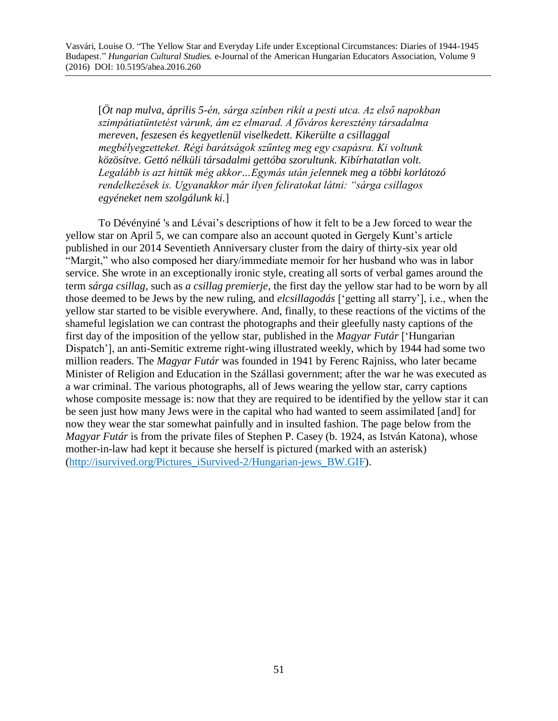[*Öt nap mulva, április 5-én, sárga színben rikít a pesti utca. Az első napokban szimpátiatüntetést várunk, ám ez elmarad. A főváros keresztény társadalma mereven, feszesen és kegyetlenül viselkedett. Kikerülte a csillaggal megbélyegzetteket. Régi barátságok szűnteg meg egy csapásra. Ki voltunk közösítve. Gettó nélküli társadalmi gettóba szorultunk. Kibírhatatlan volt. Legalább is azt hittük még akkor…Egymás után jelennek meg a többi korlátozó rendelkezések is. Ugyanakkor már ilyen feliratokat látni: "sárga csillagos egyéneket nem szolgálunk ki.*]

To Dévényiné 's and Lévai's descriptions of how it felt to be a Jew forced to wear the yellow star on April 5, we can compare also an account quoted in Gergely Kunt's article published in our 2014 Seventieth Anniversary cluster from the dairy of thirty-six year old "Margit," who also composed her diary/immediate memoir for her husband who was in labor service. She wrote in an exceptionally ironic style, creating all sorts of verbal games around the term *sárga csillag*, such as *a csillag premierje*, the first day the yellow star had to be worn by all those deemed to be Jews by the new ruling, and *elcsillagodás* ['getting all starry'], i.e., when the yellow star started to be visible everywhere. And, finally, to these reactions of the victims of the shameful legislation we can contrast the photographs and their gleefully nasty captions of the first day of the imposition of the yellow star, published in the *Magyar Futár* ['Hungarian Dispatch'], an anti-Semitic extreme right-wing illustrated weekly, which by 1944 had some two million readers. The *Magyar Futár* was founded in 1941 by Ferenc Rajniss, who later became Minister of Religion and Education in the Szállasi government; after the war he was executed as a war criminal. The various photographs, all of Jews wearing the yellow star, carry captions whose composite message is: now that they are required to be identified by the yellow star it can be seen just how many Jews were in the capital who had wanted to seem assimilated [and] for now they wear the star somewhat painfully and in insulted fashion. The page below from the *Magyar Futár* is from the private files of Stephen P. Casey (b. 1924, as István Katona), whose mother-in-law had kept it because she herself is pictured (marked with an asterisk) [\(http://isurvived.org/Pictures\\_iSurvived-2/Hungarian-jews\\_BW.GIF\)](http://isurvived.org/Pictures_iSurvived-2/Hungarian-jews_BW.GIF).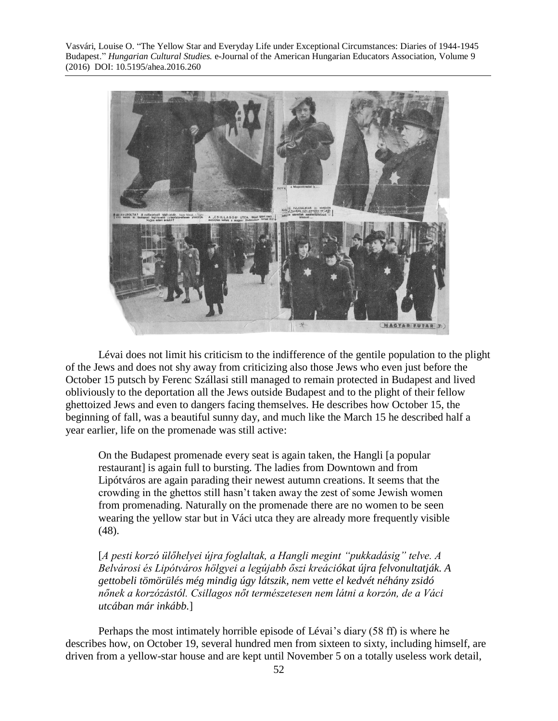

Lévai does not limit his criticism to the indifference of the gentile population to the plight of the Jews and does not shy away from criticizing also those Jews who even just before the October 15 putsch by Ferenc Szállasi still managed to remain protected in Budapest and lived obliviously to the deportation all the Jews outside Budapest and to the plight of their fellow ghettoized Jews and even to dangers facing themselves. He describes how October 15, the beginning of fall, was a beautiful sunny day, and much like the March 15 he described half a year earlier, life on the promenade was still active:

On the Budapest promenade every seat is again taken, the Hangli [a popular restaurant] is again full to bursting. The ladies from Downtown and from Lipótváros are again parading their newest autumn creations. It seems that the crowding in the ghettos still hasn't taken away the zest of some Jewish women from promenading. Naturally on the promenade there are no women to be seen wearing the yellow star but in Váci utca they are already more frequently visible (48).

[*A pesti korzó ülőhelyei újra foglaltak, a Hangli megint "pukkadásig" telve. A Belvárosi és Lipótváros hölgyei a legújabb őszi kreációkat újra felvonultatják. A gettobeli tömörülés még mindig úgy látszik, nem vette el kedvét néhány zsidó nőnek a korzózástól. Csillagos nőt természetesen nem látni a korzón, de a Váci utcában már inkább.*]

Perhaps the most intimately horrible episode of Lévai's diary (58 ff) is where he describes how, on October 19, several hundred men from sixteen to sixty, including himself, are driven from a yellow-star house and are kept until November 5 on a totally useless work detail,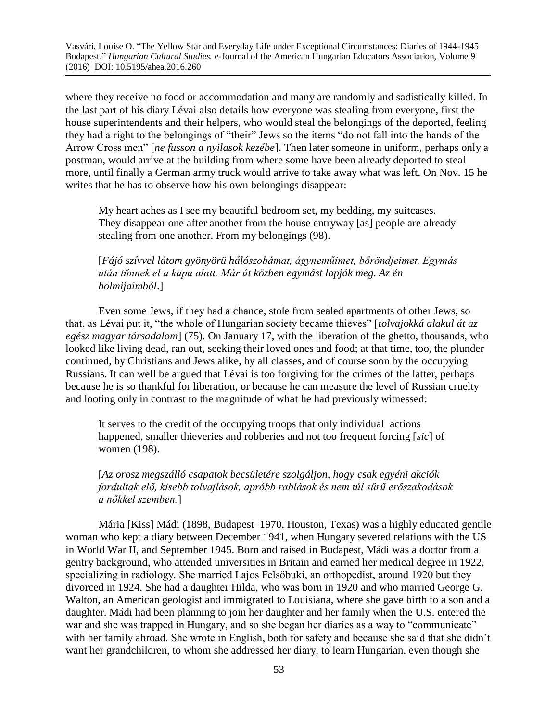where they receive no food or accommodation and many are randomly and sadistically killed. In the last part of his diary Lévai also details how everyone was stealing from everyone, first the house superintendents and their helpers, who would steal the belongings of the deported, feeling they had a right to the belongings of "their" Jews so the items "do not fall into the hands of the Arrow Cross men" [*ne fusson a nyilasok kezébe*]. Then later someone in uniform, perhaps only a postman, would arrive at the building from where some have been already deported to steal more, until finally a German army truck would arrive to take away what was left. On Nov. 15 he writes that he has to observe how his own belongings disappear:

My heart aches as I see my beautiful bedroom set, my bedding, my suitcases. They disappear one after another from the house entryway [as] people are already stealing from one another. From my belongings (98).

[*Fájó szívvel látom gyönyörü hálószobámat, ágyneműimet, bőröndjeimet. Egymás után tűnnek el a kapu alatt. Már út közben egymást lopják meg. Az én holmijaimból*.]

Even some Jews, if they had a chance, stole from sealed apartments of other Jews, so that, as Lévai put it, "the whole of Hungarian society became thieves" [*tolvajokká alakul át az egész magyar társadalom*] (75). On January 17, with the liberation of the ghetto, thousands, who looked like living dead, ran out, seeking their loved ones and food; at that time, too, the plunder continued, by Christians and Jews alike, by all classes, and of course soon by the occupying Russians. It can well be argued that Lévai is too forgiving for the crimes of the latter, perhaps because he is so thankful for liberation, or because he can measure the level of Russian cruelty and looting only in contrast to the magnitude of what he had previously witnessed:

It serves to the credit of the occupying troops that only individual actions happened, smaller thieveries and robberies and not too frequent forcing [*sic*] of women (198).

[*Az orosz megszálló csapatok becsületére szolgáljon, hogy csak egyéni akciók fordultak elő, kisebb tolvajlások, apróbb rablások és nem túl sűrű erőszakodások a nőkkel szemben.*]

Mária [Kiss] Mádi (1898, Budapest–1970, Houston, Texas) was a highly educated gentile woman who kept a diary between December 1941, when Hungary severed relations with the US in World War II, and September 1945. Born and raised in Budapest, Mádi was a doctor from a gentry background, who attended universities in Britain and earned her medical degree in 1922, specializing in radiology. She married Lajos Felsőbuki, an orthopedist, around 1920 but they divorced in 1924. She had a daughter Hilda, who was born in 1920 and who married George G. Walton, an American geologist and immigrated to Louisiana, where she gave birth to a son and a daughter. Mádi had been planning to join her daughter and her family when the U.S. entered the war and she was trapped in Hungary, and so she began her diaries as a way to "communicate" with her family abroad. She wrote in English, both for safety and because she said that she didn't want her grandchildren, to whom she addressed her diary, to learn Hungarian, even though she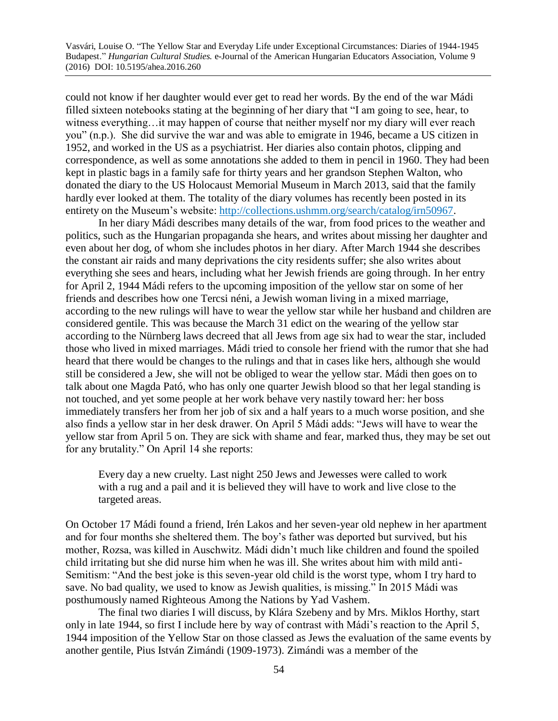could not know if her daughter would ever get to read her words. By the end of the war Mádi filled sixteen notebooks stating at the beginning of her diary that "I am going to see, hear, to witness everything…it may happen of course that neither myself nor my diary will ever reach you" (n.p.). She did survive the war and was able to emigrate in 1946, became a US citizen in 1952, and worked in the US as a psychiatrist. Her diaries also contain photos, clipping and correspondence, as well as some annotations she added to them in pencil in 1960. They had been kept in plastic bags in a family safe for thirty years and her grandson Stephen Walton, who donated the diary to the US Holocaust Memorial Museum in March 2013, said that the family hardly ever looked at them. The totality of the diary volumes has recently been posted in its entirety on the Museum's website: [http://collections.ushmm.org/search/catalog/irn50967.](http://collections.ushmm.org/search/catalog/irn50967)

In her diary Mádi describes many details of the war, from food prices to the weather and politics, such as the Hungarian propaganda she hears, and writes about missing her daughter and even about her dog, of whom she includes photos in her diary. After March 1944 she describes the constant air raids and many deprivations the city residents suffer; she also writes about everything she sees and hears, including what her Jewish friends are going through. In her entry for April 2, 1944 Mádi refers to the upcoming imposition of the yellow star on some of her friends and describes how one Tercsi néni, a Jewish woman living in a mixed marriage, according to the new rulings will have to wear the yellow star while her husband and children are considered gentile. This was because the March 31 edict on the wearing of the yellow star according to the Nürnberg laws decreed that all Jews from age six had to wear the star, included those who lived in mixed marriages. Mádi tried to console her friend with the rumor that she had heard that there would be changes to the rulings and that in cases like hers, although she would still be considered a Jew, she will not be obliged to wear the yellow star. Mádi then goes on to talk about one Magda Pató, who has only one quarter Jewish blood so that her legal standing is not touched, and yet some people at her work behave very nastily toward her: her boss immediately transfers her from her job of six and a half years to a much worse position, and she also finds a yellow star in her desk drawer. On April 5 Mádi adds: "Jews will have to wear the yellow star from April 5 on. They are sick with shame and fear, marked thus, they may be set out for any brutality." On April 14 she reports:

Every day a new cruelty. Last night 250 Jews and Jewesses were called to work with a rug and a pail and it is believed they will have to work and live close to the targeted areas.

On October 17 Mádi found a friend, Irén Lakos and her seven-year old nephew in her apartment and for four months she sheltered them. The boy's father was deported but survived, but his mother, Rozsa, was killed in Auschwitz. Mádi didn't much like children and found the spoiled child irritating but she did nurse him when he was ill. She writes about him with mild anti-Semitism: "And the best joke is this seven-year old child is the worst type, whom I try hard to save. No bad quality, we used to know as Jewish qualities, is missing." In 2015 Mádi was posthumously named Righteous Among the Nations by Yad Vashem.

The final two diaries I will discuss, by Klára Szebeny and by Mrs. Miklos Horthy, start only in late 1944, so first I include here by way of contrast with Mádi's reaction to the April 5, 1944 imposition of the Yellow Star on those classed as Jews the evaluation of the same events by another gentile, Pius István Zimándi (1909-1973). Zimándi was a member of the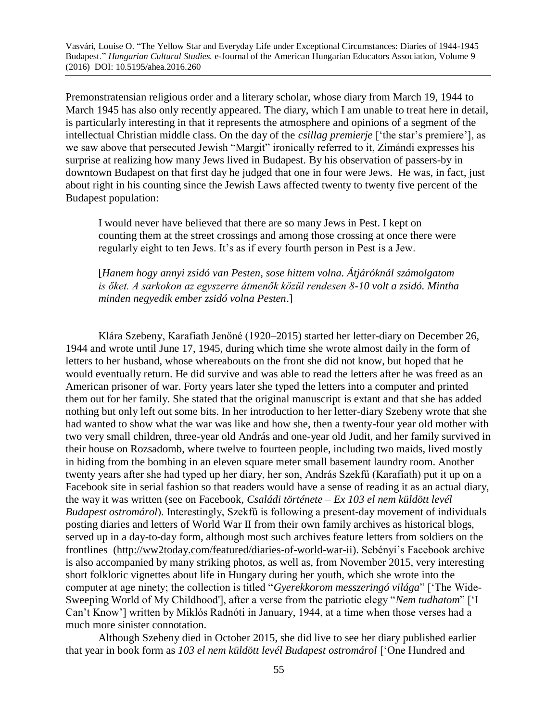Premonstratensian religious order and a literary scholar, whose diary from March 19, 1944 to March 1945 has also only recently appeared. The diary, which I am unable to treat here in detail, is particularly interesting in that it represents the atmosphere and opinions of a segment of the intellectual Christian middle class. On the day of the *csillag premierje* ['the star's premiere'], as we saw above that persecuted Jewish "Margit" ironically referred to it, Zimándi expresses his surprise at realizing how many Jews lived in Budapest. By his observation of passers-by in downtown Budapest on that first day he judged that one in four were Jews. He was, in fact, just about right in his counting since the Jewish Laws affected twenty to twenty five percent of the Budapest population:

I would never have believed that there are so many Jews in Pest. I kept on counting them at the street crossings and among those crossing at once there were regularly eight to ten Jews. It's as if every fourth person in Pest is a Jew.

[*Hanem hogy annyi zsidó van Pesten, sose hittem volna. Átjáróknál számolgatom is őket. A sarkokon az egyszerre átmenők közül rendesen 8-10 volt a zsidó. Mintha minden negyedik ember zsidó volna Pesten*.]

Klára Szebeny, Karafiath Jenőné (1920–2015) started her letter-diary on December 26, 1944 and wrote until June 17, 1945, during which time she wrote almost daily in the form of letters to her husband, whose whereabouts on the front she did not know, but hoped that he would eventually return. He did survive and was able to read the letters after he was freed as an American prisoner of war. Forty years later she typed the letters into a computer and printed them out for her family. She stated that the original manuscript is extant and that she has added nothing but only left out some bits. In her introduction to her letter-diary Szebeny wrote that she had wanted to show what the war was like and how she, then a twenty-four year old mother with two very small children, three-year old András and one-year old Judit, and her family survived in their house on Rozsadomb, where twelve to fourteen people, including two maids, lived mostly in hiding from the bombing in an eleven square meter small basement laundry room. Another twenty years after she had typed up her diary, her son, András Szekfű (Karafiath) put it up on a Facebook site in serial fashion so that readers would have a sense of reading it as an actual diary, the way it was written (see on Facebook, *Családi története – Ex 103 el nem küldött levél Budapest ostromárol*). Interestingly, Szekfű is following a present-day movement of individuals posting diaries and letters of World War II from their own family archives as historical blogs, served up in a day-to-day form, although most such archives feature letters from soldiers on the frontlines [\(http://ww2today.com/featured/diaries-of-world-war-ii\)](http://ww2today.com/featured/diaries-of-world-war-ii). Sebényi's Facebook archive is also accompanied by many striking photos, as well as, from November 2015, very interesting short folkloric vignettes about life in Hungary during her youth, which she wrote into the computer at age ninety; the collection is titled "*Gyerekkorom messzeringó világa*" ['The Wide-Sweeping World of My Childhood'], after a verse from the patriotic elegy "*Nem tudhatom*" ['I Can't Know'] written by Miklós Radnóti in January, 1944, at a time when those verses had a much more sinister connotation.

Although Szebeny died in October 2015, she did live to see her diary published earlier that year in book form as *103 el nem küldött levél Budapest ostromárol* ['One Hundred and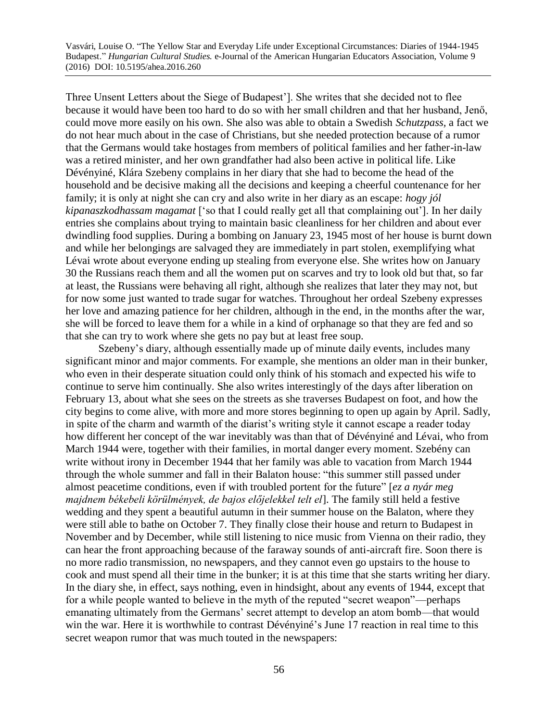Three Unsent Letters about the Siege of Budapest']. She writes that she decided not to flee because it would have been too hard to do so with her small children and that her husband, Jenő, could move more easily on his own. She also was able to obtain a Swedish *Schutzpass,* a fact we do not hear much about in the case of Christians, but she needed protection because of a rumor that the Germans would take hostages from members of political families and her father-in-law was a retired minister, and her own grandfather had also been active in political life. Like Dévényiné, Klára Szebeny complains in her diary that she had to become the head of the household and be decisive making all the decisions and keeping a cheerful countenance for her family; it is only at night she can cry and also write in her diary as an escape: *hogy jól kipanaszkodhassam magamat* ['so that I could really get all that complaining out']. In her daily entries she complains about trying to maintain basic cleanliness for her children and about ever dwindling food supplies. During a bombing on January 23, 1945 most of her house is burnt down and while her belongings are salvaged they are immediately in part stolen, exemplifying what Lévai wrote about everyone ending up stealing from everyone else. She writes how on January 30 the Russians reach them and all the women put on scarves and try to look old but that, so far at least, the Russians were behaving all right, although she realizes that later they may not, but for now some just wanted to trade sugar for watches. Throughout her ordeal Szebeny expresses her love and amazing patience for her children, although in the end, in the months after the war, she will be forced to leave them for a while in a kind of orphanage so that they are fed and so that she can try to work where she gets no pay but at least free soup.

Szebeny's diary, although essentially made up of minute daily events, includes many significant minor and major comments. For example, she mentions an older man in their bunker, who even in their desperate situation could only think of his stomach and expected his wife to continue to serve him continually. She also writes interestingly of the days after liberation on February 13, about what she sees on the streets as she traverses Budapest on foot, and how the city begins to come alive, with more and more stores beginning to open up again by April. Sadly, in spite of the charm and warmth of the diarist's writing style it cannot escape a reader today how different her concept of the war inevitably was than that of Dévényiné and Lévai, who from March 1944 were, together with their families, in mortal danger every moment. Szebény can write without irony in December 1944 that her family was able to vacation from March 1944 through the whole summer and fall in their Balaton house: "this summer still passed under almost peacetime conditions, even if with troubled portent for the future" [*ez a nyár meg majdnem békebeli körülmények, de bajos előjelekkel telt el*]. The family still held a festive wedding and they spent a beautiful autumn in their summer house on the Balaton, where they were still able to bathe on October 7. They finally close their house and return to Budapest in November and by December, while still listening to nice music from Vienna on their radio, they can hear the front approaching because of the faraway sounds of anti-aircraft fire. Soon there is no more radio transmission, no newspapers, and they cannot even go upstairs to the house to cook and must spend all their time in the bunker; it is at this time that she starts writing her diary. In the diary she, in effect, says nothing, even in hindsight, about any events of 1944, except that for a while people wanted to believe in the myth of the reputed "secret weapon"—perhaps emanating ultimately from the Germans' secret attempt to develop an atom bomb—that would win the war. Here it is worthwhile to contrast Dévényiné's June 17 reaction in real time to this secret weapon rumor that was much touted in the newspapers: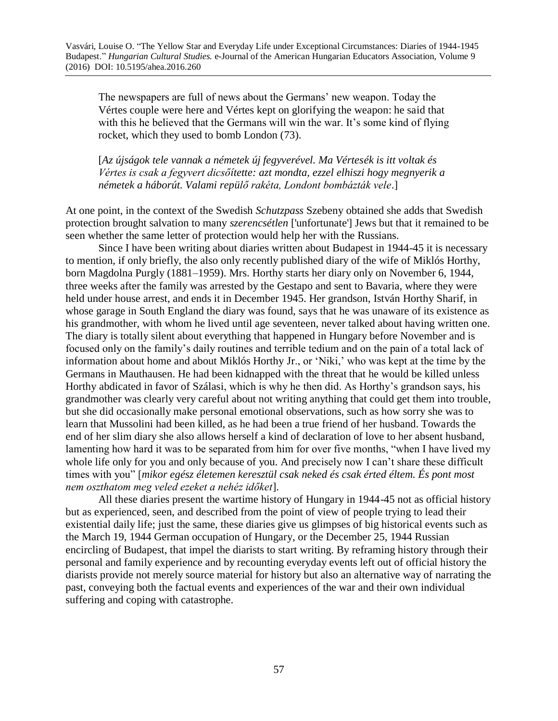The newspapers are full of news about the Germans' new weapon. Today the Vértes couple were here and Vértes kept on glorifying the weapon: he said that with this he believed that the Germans will win the war. It's some kind of flying rocket, which they used to bomb London (73).

[*Az újságok tele vannak a németek új fegyverével. Ma Vértesék is itt voltak és Vértes is csak a fegyvert dicsőítette: azt mondta, ezzel elhiszi hogy megnyerik a németek a háborút. Valami repülő rakéta, Londont bombázták vele*.]

At one point, in the context of the Swedish *Schutzpass* Szebeny obtained she adds that Swedish protection brought salvation to many *szerencsétlen* ['unfortunate'] Jews but that it remained to be seen whether the same letter of protection would help her with the Russians.

Since I have been writing about diaries written about Budapest in 1944-45 it is necessary to mention, if only briefly, the also only recently published diary of the wife of Miklós Horthy, born Magdolna Purgly (1881–1959). Mrs. Horthy starts her diary only on November 6, 1944, three weeks after the family was arrested by the Gestapo and sent to Bavaria, where they were held under house arrest, and ends it in December 1945. Her grandson, István Horthy Sharif, in whose garage in South England the diary was found, says that he was unaware of its existence as his grandmother, with whom he lived until age seventeen, never talked about having written one. The diary is totally silent about everything that happened in Hungary before November and is focused only on the family's daily routines and terrible tedium and on the pain of a total lack of information about home and about Miklós Horthy Jr., or 'Niki,' who was kept at the time by the Germans in Mauthausen. He had been kidnapped with the threat that he would be killed unless Horthy abdicated in favor of Szálasi, which is why he then did. As Horthy's grandson says, his grandmother was clearly very careful about not writing anything that could get them into trouble, but she did occasionally make personal emotional observations, such as how sorry she was to learn that Mussolini had been killed, as he had been a true friend of her husband. Towards the end of her slim diary she also allows herself a kind of declaration of love to her absent husband, lamenting how hard it was to be separated from him for over five months, "when I have lived my whole life only for you and only because of you. And precisely now I can't share these difficult times with you" [*mikor egész életemen keresztül csak neked és csak érted éltem. És pont most nem oszthatom meg veled ezeket a nehéz időket*].

All these diaries present the wartime history of Hungary in 1944-45 not as official history but as experienced, seen, and described from the point of view of people trying to lead their existential daily life; just the same, these diaries give us glimpses of big historical events such as the March 19, 1944 German occupation of Hungary, or the December 25, 1944 Russian encircling of Budapest, that impel the diarists to start writing. By reframing history through their personal and family experience and by recounting everyday events left out of official history the diarists provide not merely source material for history but also an alternative way of narrating the past, conveying both the factual events and experiences of the war and their own individual suffering and coping with catastrophe.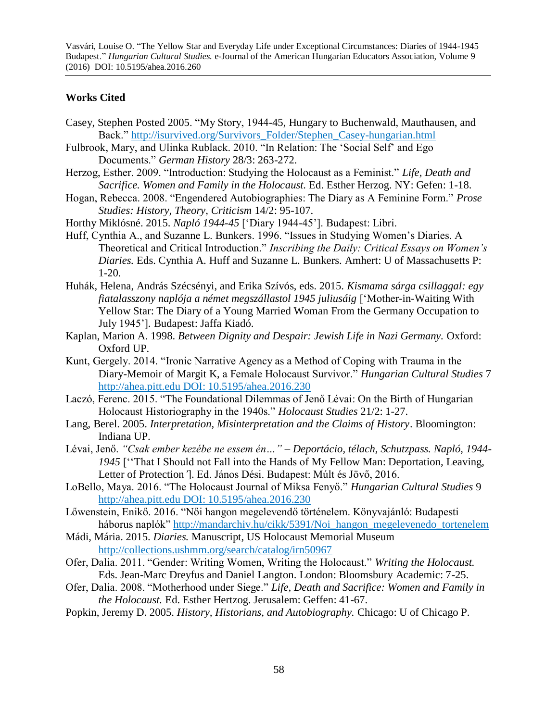## **Works Cited**

- Casey, Stephen Posted 2005. "My Story, 1944-45, Hungary to Buchenwald, Mauthausen, and Back." [http://isurvived.org/Survivors\\_Folder/Stephen\\_Casey-hungarian.html](http://isurvived.org/Survivors_Folder/Stephen_Casey-hungarian.html)
- Fulbrook, Mary, and Ulinka Rublack. 2010. "In Relation: The 'Social Self' and Ego Documents." *German History* 28/3: 263-272.
- Herzog, Esther. 2009. "Introduction: Studying the Holocaust as a Feminist." *Life, Death and Sacrifice. Women and Family in the Holocaust.* Ed. Esther Herzog. NY: Gefen: 1-18.
- Hogan, Rebecca. 2008. "Engendered Autobiographies: The Diary as A Feminine Form." *Prose Studies: History, Theory, Criticism* 14/2: 95-107.
- Horthy Miklósné. 2015. *Napló 1944-45* ['Diary 1944-45']. Budapest: Libri.
- Huff, Cynthia A., and Suzanne L. Bunkers. 1996. "Issues in Studying Women's Diaries. A Theoretical and Critical Introduction." *Inscribing the Daily: Critical Essays on Women's Diaries.* Eds. Cynthia A. Huff and Suzanne L. Bunkers. Amhert: U of Massachusetts P: 1-20.
- Huhák, Helena, András Szécsényi, and Erika Szívós, eds. 2015. *Kismama sárga csillaggal: egy fiatalasszony naplója a német megszállastol 1945 juliusáig* ['Mother-in-Waiting With Yellow Star: The Diary of a Young Married Woman From the Germany Occupation to July 1945']*.* Budapest: Jaffa Kiadó.
- Kaplan, Marion A. 1998. *Between Dignity and Despair: Jewish Life in Nazi Germany.* Oxford: Oxford UP.
- Kunt, Gergely. 2014. "Ironic Narrative Agency as a Method of Coping with Trauma in the Diary-Memoir of Margit K, a Female Holocaust Survivor." *Hungarian Cultural Studies* 7 http://ahea.pitt.edu DOI: 10.5195/ahea.2016.230
- Laczó, Ferenc. 2015. "The Foundational Dilemmas of Jenő Lévai: On the Birth of Hungarian Holocaust Historiography in the 1940s." *Holocaust Studies* 21/2: 1-27.
- Lang, Berel. 2005. *Interpretation, Misinterpretation and the Claims of History*. Bloomington: Indiana UP.
- Lévai, Jenő. *"Csak ember kezébe ne essem én…" Deportácio, télach, Schutzpass. Napló, 1944- 1945* [''That I Should not Fall into the Hands of My Fellow Man: Deportation, Leaving, Letter of Protection*'*]. Ed. János Dési. Budapest: Múlt és Jövő, 2016.
- LoBello, Maya. 2016. "The Holocaust Journal of Miksa Fenyő." *Hungarian Cultural Studies* 9 http://ahea.pitt.edu DOI: 10.5195/ahea.2016.230
- Lőwenstein, Enikő. 2016. "Női hangon megelevendő történelem. Könyvajánló: Budapesti háborus naplók" [http://mandarchiv.hu/cikk/5391/Noi\\_hangon\\_megelevenedo\\_tortenelem](http://mandarchiv.hu/cikk/5391/Noi_hangon_megelevenedo_tortenelem)
- Mádi, Mária. 2015. *Diaries.* Manuscript, US Holocaust Memorial Museum <http://collections.ushmm.org/search/catalog/irn50967>
- Ofer, Dalia. 2011. "Gender: Writing Women, Writing the Holocaust." *Writing the Holocaust.*  Eds. Jean-Marc Dreyfus and Daniel Langton. London: Bloomsbury Academic: 7-25.
- Ofer, Dalia. 2008. "Motherhood under Siege." *Life, Death and Sacrifice: Women and Family in the Holocaust.* Ed. Esther Hertzog. Jerusalem: Geffen: 41-67.
- Popkin, Jeremy D. 2005. *History, Historians, and Autobiography.* Chicago: U of Chicago P.